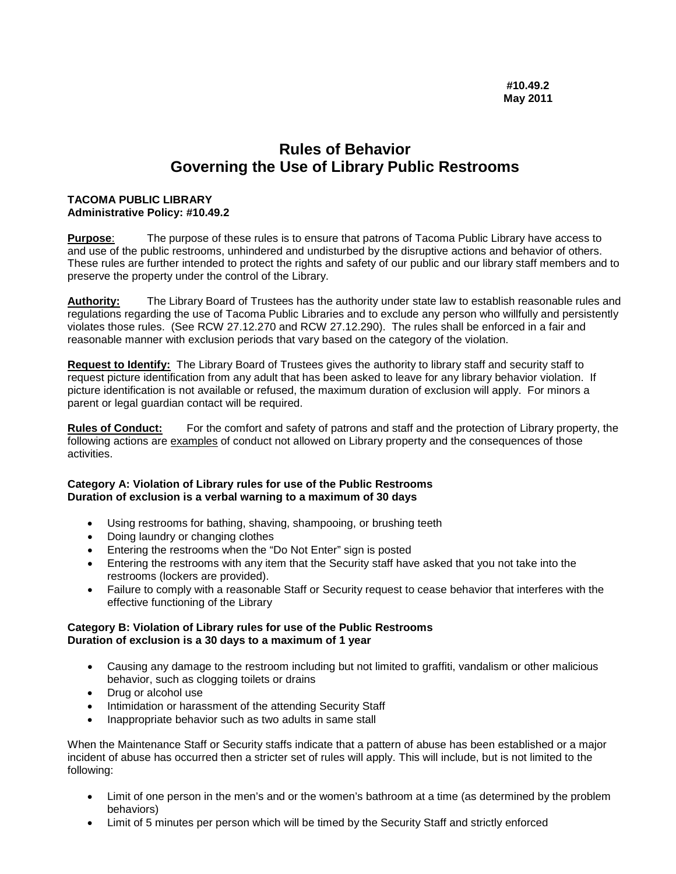## **Rules of Behavior Governing the Use of Library Public Restrooms**

## **TACOMA PUBLIC LIBRARY Administrative Policy: #10.49.2**

**Purpose**: The purpose of these rules is to ensure that patrons of Tacoma Public Library have access to and use of the public restrooms, unhindered and undisturbed by the disruptive actions and behavior of others. These rules are further intended to protect the rights and safety of our public and our library staff members and to preserve the property under the control of the Library.

**Authority:** The Library Board of Trustees has the authority under state law to establish reasonable rules and regulations regarding the use of Tacoma Public Libraries and to exclude any person who willfully and persistently violates those rules. (See RCW 27.12.270 and RCW 27.12.290). The rules shall be enforced in a fair and reasonable manner with exclusion periods that vary based on the category of the violation.

**Request to Identify:** The Library Board of Trustees gives the authority to library staff and security staff to request picture identification from any adult that has been asked to leave for any library behavior violation. If picture identification is not available or refused, the maximum duration of exclusion will apply. For minors a parent or legal guardian contact will be required.

**Rules of Conduct:** For the comfort and safety of patrons and staff and the protection of Library property, the following actions are examples of conduct not allowed on Library property and the consequences of those activities.

## **Category A: Violation of Library rules for use of the Public Restrooms Duration of exclusion is a verbal warning to a maximum of 30 days**

- Using restrooms for bathing, shaving, shampooing, or brushing teeth
- Doing laundry or changing clothes
- Entering the restrooms when the "Do Not Enter" sign is posted
- Entering the restrooms with any item that the Security staff have asked that you not take into the restrooms (lockers are provided).
- Failure to comply with a reasonable Staff or Security request to cease behavior that interferes with the effective functioning of the Library

## **Category B: Violation of Library rules for use of the Public Restrooms Duration of exclusion is a 30 days to a maximum of 1 year**

- Causing any damage to the restroom including but not limited to graffiti, vandalism or other malicious behavior, such as clogging toilets or drains
- Drug or alcohol use
- Intimidation or harassment of the attending Security Staff
- Inappropriate behavior such as two adults in same stall

When the Maintenance Staff or Security staffs indicate that a pattern of abuse has been established or a major incident of abuse has occurred then a stricter set of rules will apply. This will include, but is not limited to the following:

- Limit of one person in the men's and or the women's bathroom at a time (as determined by the problem behaviors)
- Limit of 5 minutes per person which will be timed by the Security Staff and strictly enforced